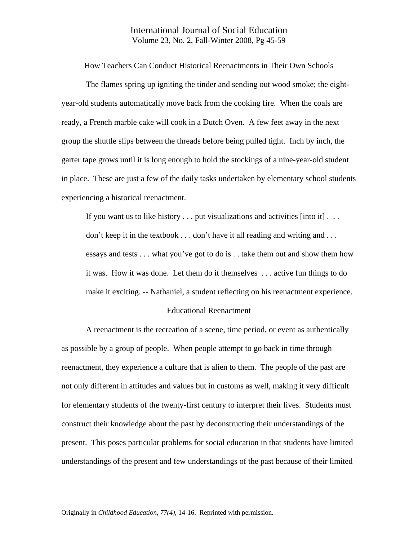## International Journal of Social Education Volume 23, No. 2, Fall-Winter 2008, Pg 45-59

How Teachers Can Conduct Historical Reenactments in Their Own Schools

 The flames spring up igniting the tinder and sending out wood smoke; the eightyear-old students automatically move back from the cooking fire. When the coals are ready, a French marble cake will cook in a Dutch Oven. A few feet away in the next group the shuttle slips between the threads before being pulled tight. Inch by inch, the garter tape grows until it is long enough to hold the stockings of a nine-year-old student in place. These are just a few of the daily tasks undertaken by elementary school students experiencing a historical reenactment.

If you want us to like history  $\dots$  put visualizations and activities [into it]  $\dots$ don't keep it in the textbook . . . don't have it all reading and writing and . . . essays and tests . . . what you've got to do is . . take them out and show them how it was. How it was done. Let them do it themselves . . . active fun things to do make it exciting. -- Nathaniel, a student reflecting on his reenactment experience.

### Educational Reenactment

A reenactment is the recreation of a scene, time period, or event as authentically as possible by a group of people. When people attempt to go back in time through reenactment, they experience a culture that is alien to them. The people of the past are not only different in attitudes and values but in customs as well, making it very difficult for elementary students of the twenty-first century to interpret their lives. Students must construct their knowledge about the past by deconstructing their understandings of the present. This poses particular problems for social education in that students have limited understandings of the present and few understandings of the past because of their limited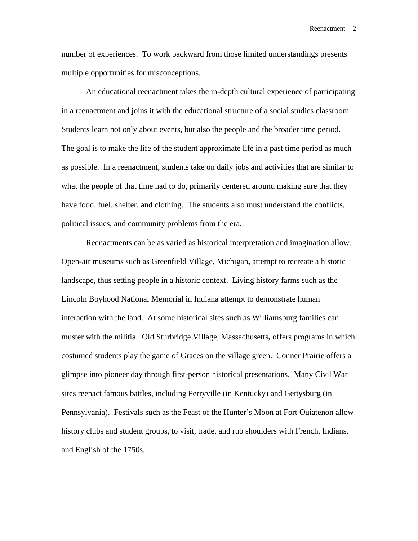number of experiences. To work backward from those limited understandings presents multiple opportunities for misconceptions.

 An educational reenactment takes the in-depth cultural experience of participating in a reenactment and joins it with the educational structure of a social studies classroom. Students learn not only about events, but also the people and the broader time period. The goal is to make the life of the student approximate life in a past time period as much as possible. In a reenactment, students take on daily jobs and activities that are similar to what the people of that time had to do, primarily centered around making sure that they have food, fuel, shelter, and clothing. The students also must understand the conflicts, political issues, and community problems from the era.

Reenactments can be as varied as historical interpretation and imagination allow. Open-air museums such as Greenfield Village, Michigan**,** attempt to recreate a historic landscape, thus setting people in a historic context. Living history farms such as the Lincoln Boyhood National Memorial in Indiana attempt to demonstrate human interaction with the land. At some historical sites such as Williamsburg families can muster with the militia. Old Sturbridge Village, Massachusetts**,** offers programs in which costumed students play the game of Graces on the village green. Conner Prairie offers a glimpse into pioneer day through first-person historical presentations. Many Civil War sites reenact famous battles, including Perryville (in Kentucky) and Gettysburg (in Pennsylvania). Festivals such as the Feast of the Hunter's Moon at Fort Ouiatenon allow history clubs and student groups, to visit, trade, and rub shoulders with French, Indians, and English of the 1750s.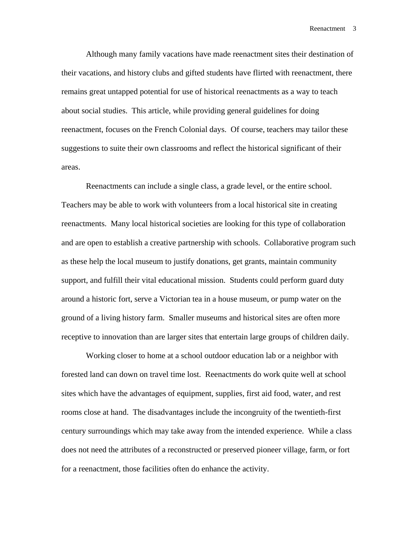Although many family vacations have made reenactment sites their destination of their vacations, and history clubs and gifted students have flirted with reenactment, there remains great untapped potential for use of historical reenactments as a way to teach about social studies. This article, while providing general guidelines for doing reenactment, focuses on the French Colonial days. Of course, teachers may tailor these suggestions to suite their own classrooms and reflect the historical significant of their areas.

Reenactments can include a single class, a grade level, or the entire school. Teachers may be able to work with volunteers from a local historical site in creating reenactments.Many local historical societies are looking for this type of collaboration and are open to establish a creative partnership with schools. Collaborative program such as these help the local museum to justify donations, get grants, maintain community support, and fulfill their vital educational mission. Students could perform guard duty around a historic fort, serve a Victorian tea in a house museum, or pump water on the ground of a living history farm. Smaller museums and historical sites are often more receptive to innovation than are larger sites that entertain large groups of children daily.

Working closer to home at a school outdoor education lab or a neighbor with forested land can down on travel time lost. Reenactments do work quite well at school sites which have the advantages of equipment, supplies, first aid food, water, and rest rooms close at hand. The disadvantages include the incongruity of the twentieth-first century surroundings which may take away from the intended experience. While a class does not need the attributes of a reconstructed or preserved pioneer village, farm, or fort for a reenactment, those facilities often do enhance the activity.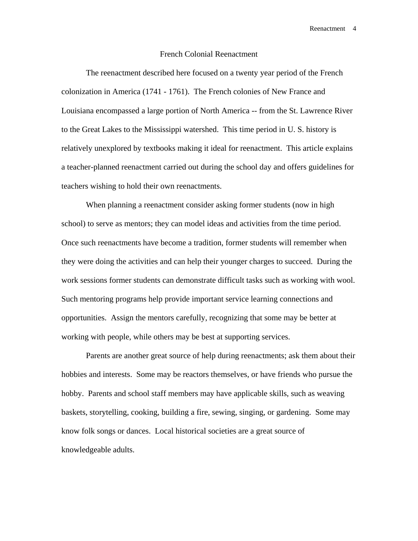### French Colonial Reenactment

 The reenactment described here focused on a twenty year period of the French colonization in America (1741 - 1761). The French colonies of New France and Louisiana encompassed a large portion of North America -- from the St. Lawrence River to the Great Lakes to the Mississippi watershed. This time period in U. S. history is relatively unexplored by textbooks making it ideal for reenactment. This article explains a teacher-planned reenactment carried out during the school day and offers guidelines for teachers wishing to hold their own reenactments.

 When planning a reenactment consider asking former students (now in high school) to serve as mentors; they can model ideas and activities from the time period. Once such reenactments have become a tradition, former students will remember when they were doing the activities and can help their younger charges to succeed. During the work sessions former students can demonstrate difficult tasks such as working with wool. Such mentoring programs help provide important service learning connections and opportunities. Assign the mentors carefully, recognizing that some may be better at working with people, while others may be best at supporting services.

 Parents are another great source of help during reenactments; ask them about their hobbies and interests. Some may be reactors themselves, or have friends who pursue the hobby. Parents and school staff members may have applicable skills, such as weaving baskets, storytelling, cooking, building a fire, sewing, singing, or gardening. Some may know folk songs or dances. Local historical societies are a great source of knowledgeable adults.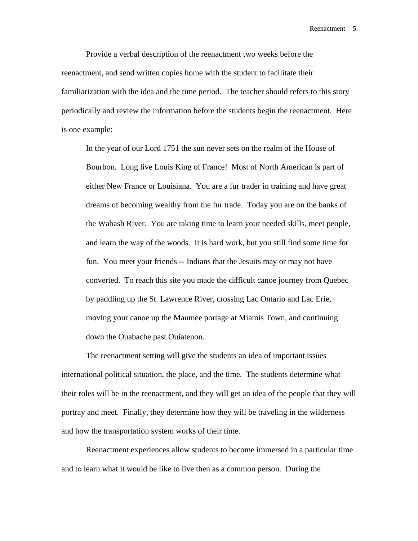Provide a verbal description of the reenactment two weeks before the reenactment, and send written copies home with the student to facilitate their familiarization with the idea and the time period. The teacher should refers to this story periodically and review the information before the students begin the reenactment. Here is one example:

In the year of our Lord 1751 the sun never sets on the realm of the House of Bourbon. Long live Louis King of France! Most of North American is part of either New France or Louisiana. You are a fur trader in training and have great dreams of becoming wealthy from the fur trade. Today you are on the banks of the Wabash River. You are taking time to learn your needed skills, meet people, and learn the way of the woods. It is hard work, but you still find some time for fun. You meet your friends -- Indians that the Jesuits may or may not have converted. To reach this site you made the difficult canoe journey from Quebec by paddling up the St. Lawrence River, crossing Lac Ontario and Lac Erie, moving your canoe up the Maumee portage at Miamis Town, and continuing down the Ouabache past Ouiatenon.

The reenactment setting will give the students an idea of important issues international political situation, the place, and the time. The students determine what their roles will be in the reenactment, and they will get an idea of the people that they will portray and meet. Finally, they determine how they will be traveling in the wilderness and how the transportation system works of their time.

 Reenactment experiences allow students to become immersed in a particular time and to learn what it would be like to live then as a common person. During the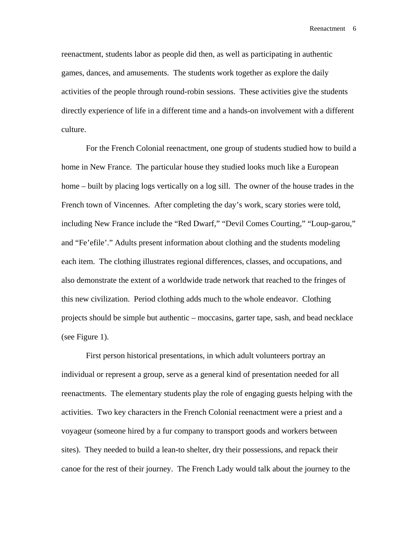reenactment, students labor as people did then, as well as participating in authentic games, dances, and amusements. The students work together as explore the daily activities of the people through round-robin sessions. These activities give the students directly experience of life in a different time and a hands-on involvement with a different culture.

 For the French Colonial reenactment, one group of students studied how to build a home in New France. The particular house they studied looks much like a European home – built by placing logs vertically on a log sill. The owner of the house trades in the French town of Vincennes. After completing the day's work, scary stories were told, including New France include the "Red Dwarf," "Devil Comes Courting," "Loup-garou," and "Fe'efile'." Adults present information about clothing and the students modeling each item. The clothing illustrates regional differences, classes, and occupations, and also demonstrate the extent of a worldwide trade network that reached to the fringes of this new civilization. Period clothing adds much to the whole endeavor. Clothing projects should be simple but authentic – moccasins, garter tape, sash, and bead necklace (see Figure 1).

 First person historical presentations, in which adult volunteers portray an individual or represent a group, serve as a general kind of presentation needed for all reenactments. The elementary students play the role of engaging guests helping with the activities. Two key characters in the French Colonial reenactment were a priest and a voyageur (someone hired by a fur company to transport goods and workers between sites). They needed to build a lean-to shelter, dry their possessions, and repack their canoe for the rest of their journey. The French Lady would talk about the journey to the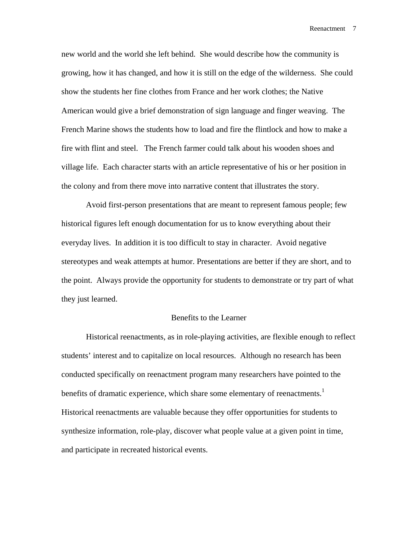new world and the world she left behind. She would describe how the community is growing, how it has changed, and how it is still on the edge of the wilderness. She could show the students her fine clothes from France and her work clothes; the Native American would give a brief demonstration of sign language and finger weaving. The French Marine shows the students how to load and fire the flintlock and how to make a fire with flint and steel. The French farmer could talk about his wooden shoes and village life. Each character starts with an article representative of his or her position in the colony and from there move into narrative content that illustrates the story.

 Avoid first-person presentations that are meant to represent famous people; few historical figures left enough documentation for us to know everything about their everyday lives. In addition it is too difficult to stay in character. Avoid negative stereotypes and weak attempts at humor. Presentations are better if they are short, and to the point. Always provide the opportunity for students to demonstrate or try part of what they just learned.

### Benefits to the Learner

Historical reenactments, as in role-playing activities, are flexible enough to reflect students' interest and to capitalize on local resources. Although no research has been conducted specifically on reenactment program many researchers have pointed to the benefits of dramatic experience, which share some elementary of reenactments.<sup>1</sup> Historical reenactments are valuable because they offer opportunities for students to synthesize information, role-play, discover what people value at a given point in time, and participate in recreated historical events.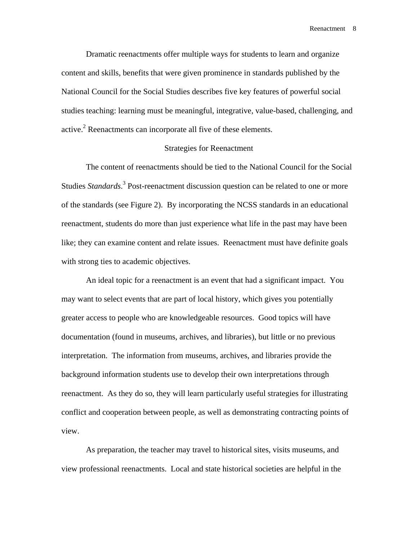Dramatic reenactments offer multiple ways for students to learn and organize content and skills, benefits that were given prominence in standards published by the National Council for the Social Studies describes five key features of powerful social studies teaching: learning must be meaningful, integrative, value-based, challenging, and active. $2$  Reenactments can incorporate all five of these elements.

### Strategies for Reenactment

 The content of reenactments should be tied to the National Council for the Social Studies *Standards*.<sup>3</sup> Post-reenactment discussion question can be related to one or more of the standards (see Figure 2). By incorporating the NCSS standards in an educational reenactment, students do more than just experience what life in the past may have been like; they can examine content and relate issues. Reenactment must have definite goals with strong ties to academic objectives.

An ideal topic for a reenactment is an event that had a significant impact. You may want to select events that are part of local history, which gives you potentially greater access to people who are knowledgeable resources. Good topics will have documentation (found in museums, archives, and libraries), but little or no previous interpretation. The information from museums, archives, and libraries provide the background information students use to develop their own interpretations through reenactment. As they do so, they will learn particularly useful strategies for illustrating conflict and cooperation between people, as well as demonstrating contracting points of view.

 As preparation, the teacher may travel to historical sites, visits museums, and view professional reenactments. Local and state historical societies are helpful in the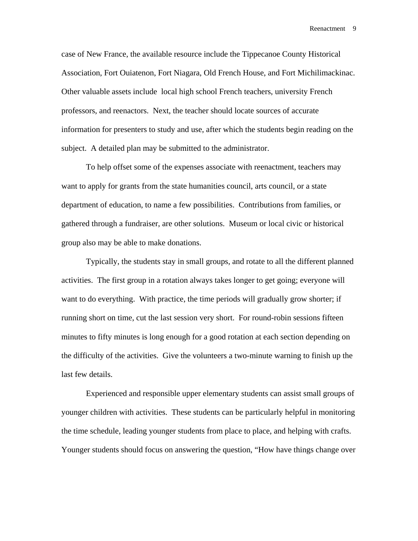case of New France, the available resource include the Tippecanoe County Historical Association, Fort Ouiatenon, Fort Niagara, Old French House, and Fort Michilimackinac. Other valuable assets include local high school French teachers, university French professors, and reenactors. Next, the teacher should locate sources of accurate information for presenters to study and use, after which the students begin reading on the subject. A detailed plan may be submitted to the administrator.

 To help offset some of the expenses associate with reenactment, teachers may want to apply for grants from the state humanities council, arts council, or a state department of education, to name a few possibilities. Contributions from families, or gathered through a fundraiser, are other solutions. Museum or local civic or historical group also may be able to make donations.

 Typically, the students stay in small groups, and rotate to all the different planned activities. The first group in a rotation always takes longer to get going; everyone will want to do everything. With practice, the time periods will gradually grow shorter; if running short on time, cut the last session very short. For round-robin sessions fifteen minutes to fifty minutes is long enough for a good rotation at each section depending on the difficulty of the activities. Give the volunteers a two-minute warning to finish up the last few details.

 Experienced and responsible upper elementary students can assist small groups of younger children with activities. These students can be particularly helpful in monitoring the time schedule, leading younger students from place to place, and helping with crafts. Younger students should focus on answering the question, "How have things change over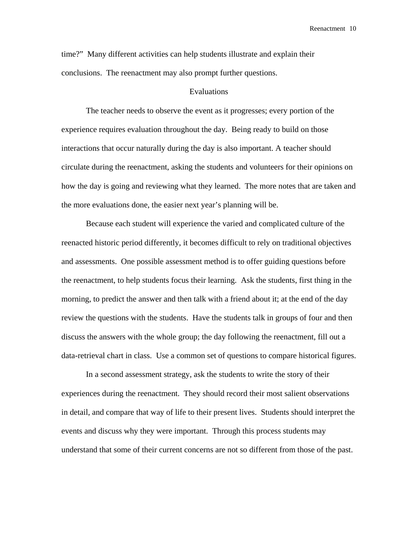time?" Many different activities can help students illustrate and explain their conclusions. The reenactment may also prompt further questions.

### Evaluations

The teacher needs to observe the event as it progresses; every portion of the experience requires evaluation throughout the day. Being ready to build on those interactions that occur naturally during the day is also important. A teacher should circulate during the reenactment, asking the students and volunteers for their opinions on how the day is going and reviewing what they learned. The more notes that are taken and the more evaluations done, the easier next year's planning will be.

 Because each student will experience the varied and complicated culture of the reenacted historic period differently, it becomes difficult to rely on traditional objectives and assessments. One possible assessment method is to offer guiding questions before the reenactment, to help students focus their learning. Ask the students, first thing in the morning, to predict the answer and then talk with a friend about it; at the end of the day review the questions with the students. Have the students talk in groups of four and then discuss the answers with the whole group; the day following the reenactment, fill out a data-retrieval chart in class. Use a common set of questions to compare historical figures.

In a second assessment strategy, ask the students to write the story of their experiences during the reenactment. They should record their most salient observations in detail, and compare that way of life to their present lives. Students should interpret the events and discuss why they were important. Through this process students may understand that some of their current concerns are not so different from those of the past.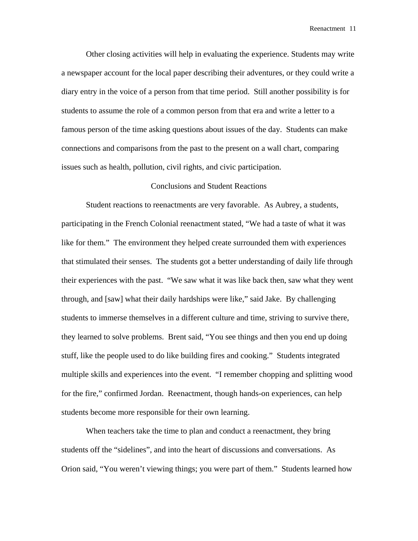Other closing activities will help in evaluating the experience. Students may write a newspaper account for the local paper describing their adventures, or they could write a diary entry in the voice of a person from that time period. Still another possibility is for students to assume the role of a common person from that era and write a letter to a famous person of the time asking questions about issues of the day. Students can make connections and comparisons from the past to the present on a wall chart, comparing issues such as health, pollution, civil rights, and civic participation.

### Conclusions and Student Reactions

 Student reactions to reenactments are very favorable. As Aubrey, a students, participating in the French Colonial reenactment stated, "We had a taste of what it was like for them." The environment they helped create surrounded them with experiences that stimulated their senses. The students got a better understanding of daily life through their experiences with the past. "We saw what it was like back then, saw what they went through, and [saw] what their daily hardships were like," said Jake. By challenging students to immerse themselves in a different culture and time, striving to survive there, they learned to solve problems. Brent said, "You see things and then you end up doing stuff, like the people used to do like building fires and cooking." Students integrated multiple skills and experiences into the event. "I remember chopping and splitting wood for the fire," confirmed Jordan. Reenactment, though hands-on experiences, can help students become more responsible for their own learning.

 When teachers take the time to plan and conduct a reenactment, they bring students off the "sidelines", and into the heart of discussions and conversations. As Orion said, "You weren't viewing things; you were part of them." Students learned how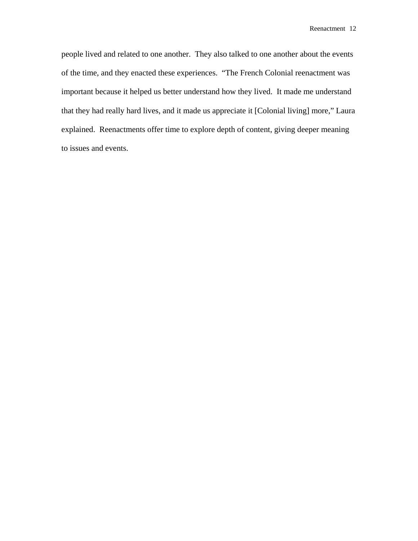people lived and related to one another. They also talked to one another about the events of the time, and they enacted these experiences. "The French Colonial reenactment was important because it helped us better understand how they lived. It made me understand that they had really hard lives, and it made us appreciate it [Colonial living] more," Laura explained. Reenactments offer time to explore depth of content, giving deeper meaning to issues and events.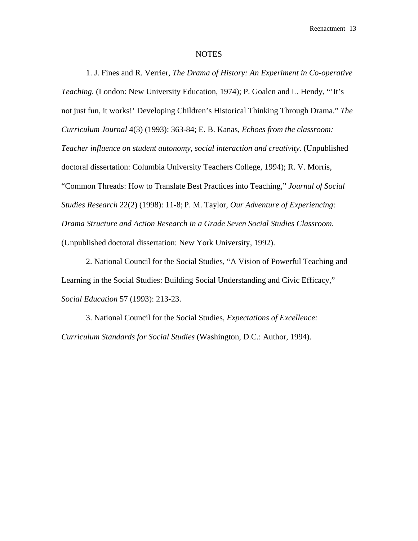#### NOTES

1. J. Fines and R. Verrier, *The Drama of History: An Experiment in Co-operative Teaching.* (London: New University Education, 1974); P. Goalen and L. Hendy, "'It's not just fun, it works!' Developing Children's Historical Thinking Through Drama." *The Curriculum Journal* 4(3) (1993): 363-84; E. B. Kanas, *Echoes from the classroom: Teacher influence on student autonomy, social interaction and creativity.* (Unpublished doctoral dissertation: Columbia University Teachers College, 1994); R. V. Morris, "Common Threads: How to Translate Best Practices into Teaching," *Journal of Social Studies Research* 22(2) (1998): 11-8; P. M. Taylor, *Our Adventure of Experiencing: Drama Structure and Action Research in a Grade Seven Social Studies Classroom.* (Unpublished doctoral dissertation: New York University, 1992).

2. National Council for the Social Studies, "A Vision of Powerful Teaching and Learning in the Social Studies: Building Social Understanding and Civic Efficacy," *Social Education* 57 (1993): 213-23.

3. National Council for the Social Studies, *Expectations of Excellence: Curriculum Standards for Social Studies* (Washington, D.C.: Author, 1994).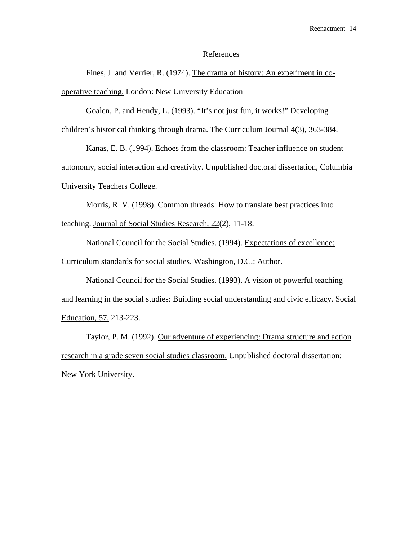### References

 Fines, J. and Verrier, R. (1974). The drama of history: An experiment in cooperative teaching. London: New University Education

Goalen, P. and Hendy, L. (1993). "It's not just fun, it works!" Developing children's historical thinking through drama. The Curriculum Journal 4(3), 363-384.

 Kanas, E. B. (1994). Echoes from the classroom: Teacher influence on student autonomy, social interaction and creativity. Unpublished doctoral dissertation, Columbia University Teachers College.

 Morris, R. V. (1998). Common threads: How to translate best practices into teaching. Journal of Social Studies Research, 22(2), 11-18.

 National Council for the Social Studies. (1994). Expectations of excellence: Curriculum standards for social studies. Washington, D.C.: Author.

 National Council for the Social Studies. (1993). A vision of powerful teaching and learning in the social studies: Building social understanding and civic efficacy. Social Education, 57, 213-223.

 Taylor, P. M. (1992). Our adventure of experiencing: Drama structure and action research in a grade seven social studies classroom. Unpublished doctoral dissertation: New York University.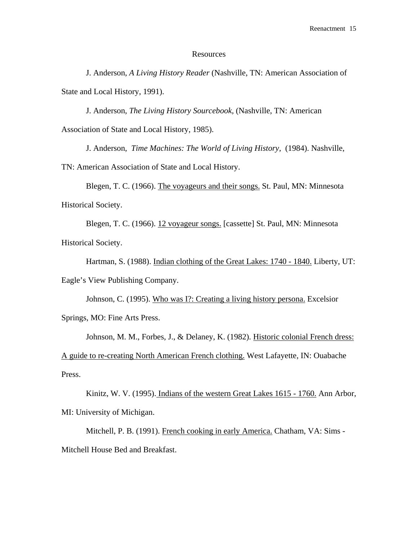### **Resources**

 J. Anderson, *A Living History Reader* (Nashville, TN: American Association of State and Local History, 1991).

 J. Anderson, *The Living History Sourcebook,* (Nashville, TN: American Association of State and Local History, 1985).

J. Anderson, *Time Machines: The World of Living History,* (1984). Nashville,

TN: American Association of State and Local History.

 Blegen, T. C. (1966). The voyageurs and their songs. St. Paul, MN: Minnesota Historical Society.

 Blegen, T. C. (1966). 12 voyageur songs. [cassette] St. Paul, MN: Minnesota Historical Society.

Hartman, S. (1988). Indian clothing of the Great Lakes: 1740 - 1840. Liberty, UT: Eagle's View Publishing Company.

Johnson, C. (1995). Who was I?: Creating a living history persona. Excelsior Springs, MO: Fine Arts Press.

 Johnson, M. M., Forbes, J., & Delaney, K. (1982). Historic colonial French dress: A guide to re-creating North American French clothing. West Lafayette, IN: Ouabache Press.

 Kinitz, W. V. (1995). Indians of the western Great Lakes 1615 - 1760. Ann Arbor, MI: University of Michigan.

Mitchell, P. B. (1991). French cooking in early America. Chatham, VA: Sims -Mitchell House Bed and Breakfast.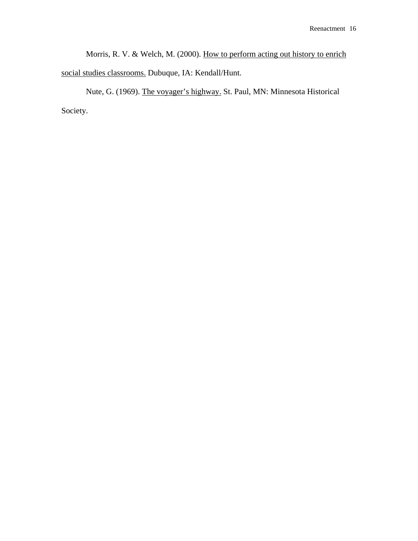Morris, R. V. & Welch, M. (2000). How to perform acting out history to enrich social studies classrooms. Dubuque, IA: Kendall/Hunt.

 Nute, G. (1969). The voyager's highway. St. Paul, MN: Minnesota Historical Society.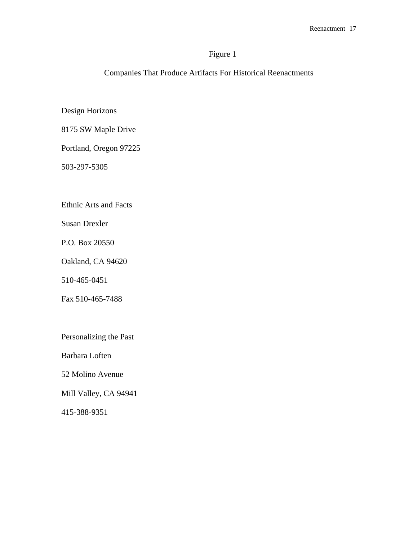# Figure 1

Companies That Produce Artifacts For Historical Reenactments

Design Horizons

8175 SW Maple Drive

Portland, Oregon 97225

503-297-5305

Ethnic Arts and Facts

Susan Drexler

P.O. Box 20550

Oakland, CA 94620

510-465-0451

Fax 510-465-7488

Personalizing the Past

Barbara Loften

52 Molino Avenue

Mill Valley, CA 94941

415-388-9351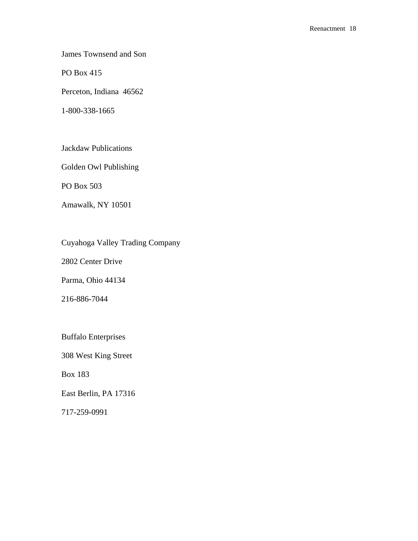James Townsend and Son

PO Box 415

Perceton, Indiana 46562

1-800-338-1665

Jackdaw Publications

Golden Owl Publishing

PO Box 503

Amawalk, NY 10501

Cuyahoga Valley Trading Company

2802 Center Drive

Parma, Ohio 44134

216-886-7044

Buffalo Enterprises

308 West King Street

Box 183

East Berlin, PA 17316

717-259-0991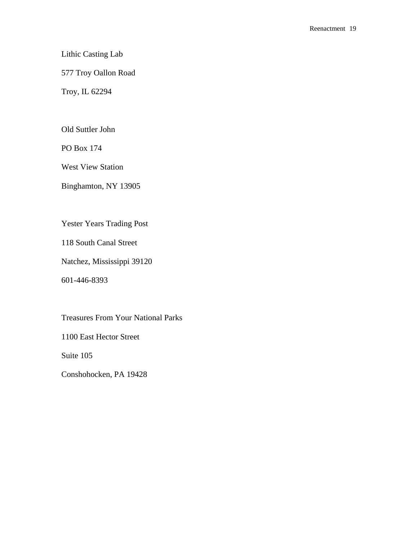# Lithic Casting Lab

# 577 Troy Oallon Road

Troy, IL 62294

Old Suttler John

PO Box 174

West View Station

Binghamton, NY 13905

Yester Years Trading Post

118 South Canal Street

Natchez, Mississippi 39120

601-446-8393

Treasures From Your National Parks

1100 East Hector Street

Suite 105

Conshohocken, PA 19428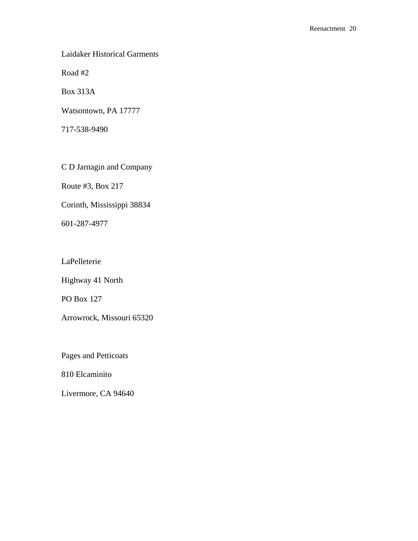Laidaker Historical Garments

Road #2

Box 313A

Watsontown, PA 17777

717-538-9490

C D Jarnagin and Company

Route #3, Box 217

Corinth, Mississippi 38834

601-287-4977

LaPelleterie

Highway 41 North

PO Box 127

Arrowrock, Missouri 65320

Pages and Petticoats

810 Elcaminito

Livermore, CA 94640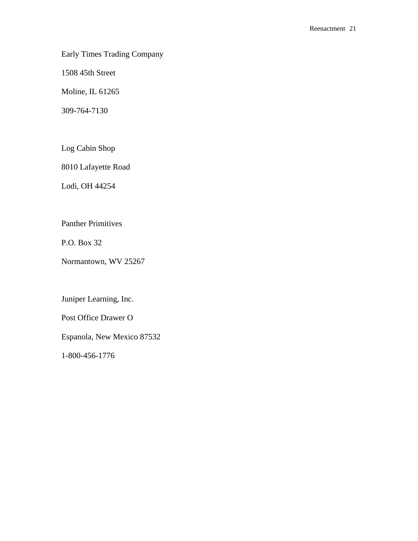Early Times Trading Company

1508 45th Street

Moline, IL 61265

309-764-7130

Log Cabin Shop

8010 Lafayette Road

Lodi, OH 44254

Panther Primitives

P.O. Box 32

Normantown, WV 25267

Juniper Learning, Inc.

Post Office Drawer O

Espanola, New Mexico 87532

1-800-456-1776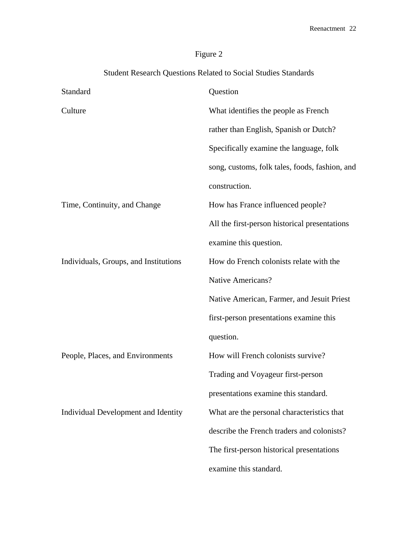# Figure 2

| Student Research Questions Related to Social Studies Standards |                                                |
|----------------------------------------------------------------|------------------------------------------------|
| Standard                                                       | Question                                       |
| Culture                                                        | What identifies the people as French           |
|                                                                | rather than English, Spanish or Dutch?         |
|                                                                | Specifically examine the language, folk        |
|                                                                | song, customs, folk tales, foods, fashion, and |
|                                                                | construction.                                  |
| Time, Continuity, and Change                                   | How has France influenced people?              |
|                                                                | All the first-person historical presentations  |
|                                                                | examine this question.                         |
| Individuals, Groups, and Institutions                          | How do French colonists relate with the        |
|                                                                | Native Americans?                              |
|                                                                | Native American, Farmer, and Jesuit Priest     |
|                                                                | first-person presentations examine this        |
|                                                                | question.                                      |
| People, Places, and Environments                               | How will French colonists survive?             |
|                                                                | Trading and Voyageur first-person              |
|                                                                | presentations examine this standard.           |
| Individual Development and Identity                            | What are the personal characteristics that     |
|                                                                | describe the French traders and colonists?     |
|                                                                | The first-person historical presentations      |
|                                                                | examine this standard.                         |
|                                                                |                                                |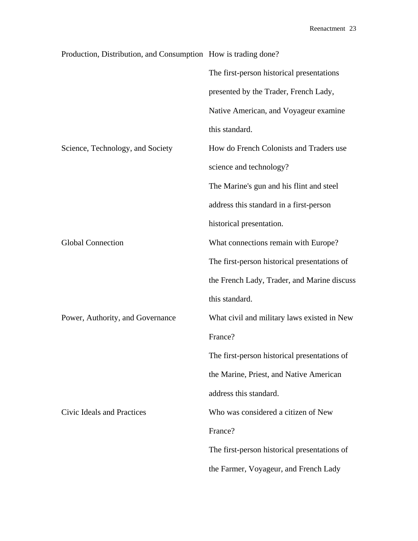| Production, Distribution, and Consumption How is trading done? |                                              |
|----------------------------------------------------------------|----------------------------------------------|
|                                                                | The first-person historical presentations    |
|                                                                | presented by the Trader, French Lady,        |
|                                                                | Native American, and Voyageur examine        |
|                                                                | this standard.                               |
| Science, Technology, and Society                               | How do French Colonists and Traders use      |
|                                                                | science and technology?                      |
|                                                                | The Marine's gun and his flint and steel     |
|                                                                | address this standard in a first-person      |
|                                                                | historical presentation.                     |
| <b>Global Connection</b>                                       | What connections remain with Europe?         |
|                                                                | The first-person historical presentations of |
|                                                                | the French Lady, Trader, and Marine discuss  |
|                                                                | this standard.                               |
| Power, Authority, and Governance                               | What civil and military laws existed in New  |
|                                                                | France?                                      |
|                                                                | The first-person historical presentations of |
|                                                                | the Marine, Priest, and Native American      |
|                                                                | address this standard.                       |
| Civic Ideals and Practices                                     | Who was considered a citizen of New          |
|                                                                | France?                                      |
|                                                                | The first-person historical presentations of |
|                                                                | the Farmer, Voyageur, and French Lady        |